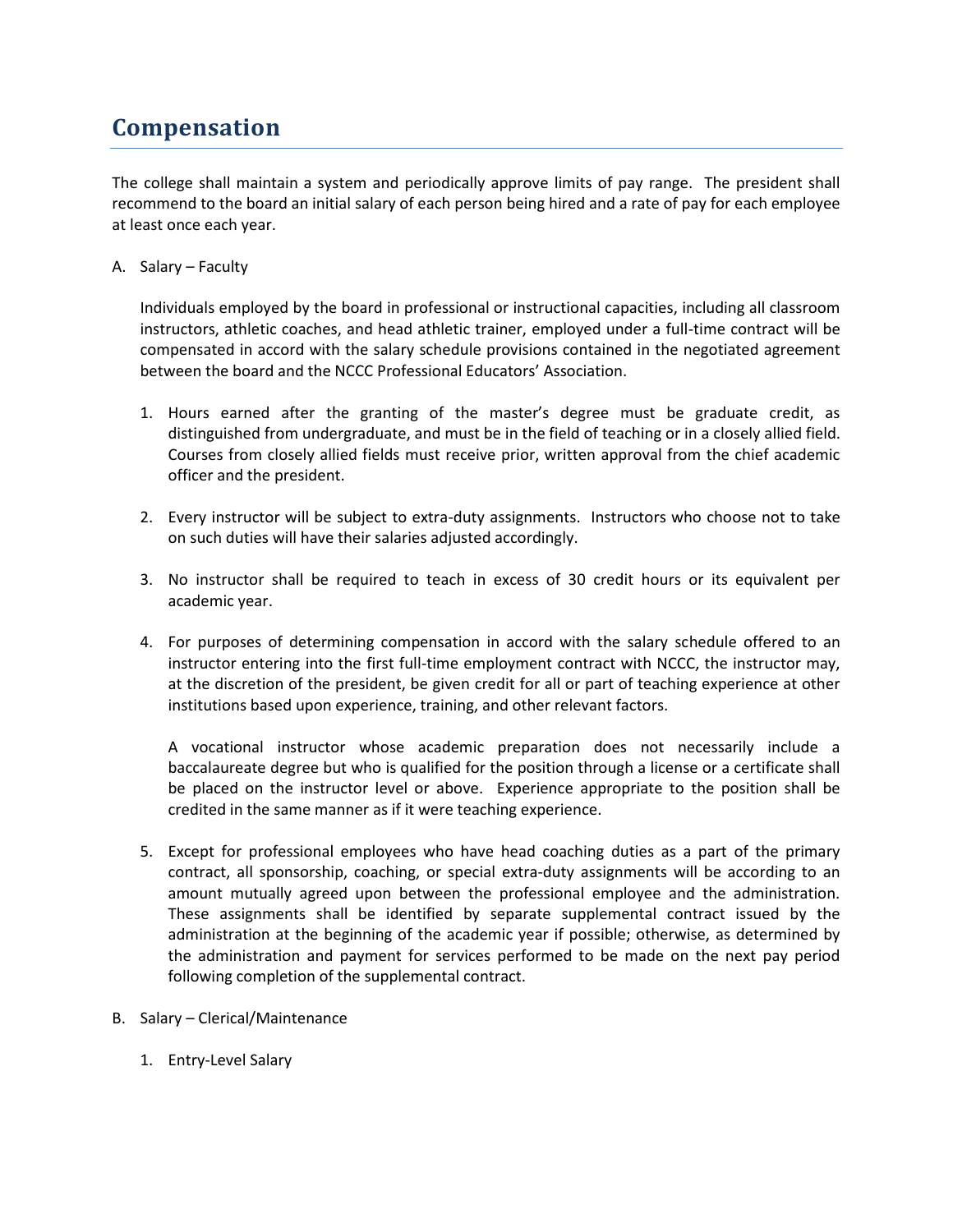## **Compensation**

The college shall maintain a system and periodically approve limits of pay range. The president shall recommend to the board an initial salary of each person being hired and a rate of pay for each employee at least once each year.

A. Salary – Faculty

Individuals employed by the board in professional or instructional capacities, including all classroom instructors, athletic coaches, and head athletic trainer, employed under a full-time contract will be compensated in accord with the salary schedule provisions contained in the negotiated agreement between the board and the NCCC Professional Educators' Association.

- 1. Hours earned after the granting of the master's degree must be graduate credit, as distinguished from undergraduate, and must be in the field of teaching or in a closely allied field. Courses from closely allied fields must receive prior, written approval from the chief academic officer and the president.
- 2. Every instructor will be subject to extra-duty assignments. Instructors who choose not to take on such duties will have their salaries adjusted accordingly.
- 3. No instructor shall be required to teach in excess of 30 credit hours or its equivalent per academic year.
- 4. For purposes of determining compensation in accord with the salary schedule offered to an instructor entering into the first full-time employment contract with NCCC, the instructor may, at the discretion of the president, be given credit for all or part of teaching experience at other institutions based upon experience, training, and other relevant factors.

A vocational instructor whose academic preparation does not necessarily include a baccalaureate degree but who is qualified for the position through a license or a certificate shall be placed on the instructor level or above. Experience appropriate to the position shall be credited in the same manner as if it were teaching experience.

- 5. Except for professional employees who have head coaching duties as a part of the primary contract, all sponsorship, coaching, or special extra-duty assignments will be according to an amount mutually agreed upon between the professional employee and the administration. These assignments shall be identified by separate supplemental contract issued by the administration at the beginning of the academic year if possible; otherwise, as determined by the administration and payment for services performed to be made on the next pay period following completion of the supplemental contract.
- B. Salary Clerical/Maintenance
	- 1. Entry-Level Salary